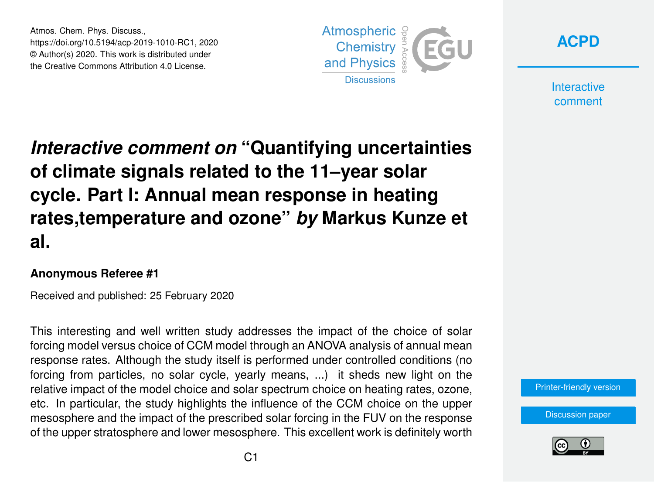Atmos. Chem. Phys. Discuss., https://doi.org/10.5194/acp-2019-1010-RC1, 2020 © Author(s) 2020. This work is distributed under the Creative Commons Attribution 4.0 License.





**Interactive** comment

# *Interactive comment on* **"Quantifying uncertainties of climate signals related to the 11–year solar cycle. Part I: Annual mean response in heating rates,temperature and ozone"** *by* **Markus Kunze et al.**

#### **Anonymous Referee #1**

Received and published: 25 February 2020

This interesting and well written study addresses the impact of the choice of solar forcing model versus choice of CCM model through an ANOVA analysis of annual mean response rates. Although the study itself is performed under controlled conditions (no forcing from particles, no solar cycle, yearly means, ...) it sheds new light on the relative impact of the model choice and solar spectrum choice on heating rates, ozone, etc. In particular, the study highlights the influence of the CCM choice on the upper mesosphere and the impact of the prescribed solar forcing in the FUV on the response of the upper stratosphere and lower mesosphere. This excellent work is definitely worth

[Printer-friendly version](https://www.atmos-chem-phys-discuss.net/acp-2019-1010/acp-2019-1010-RC1-print.pdf)

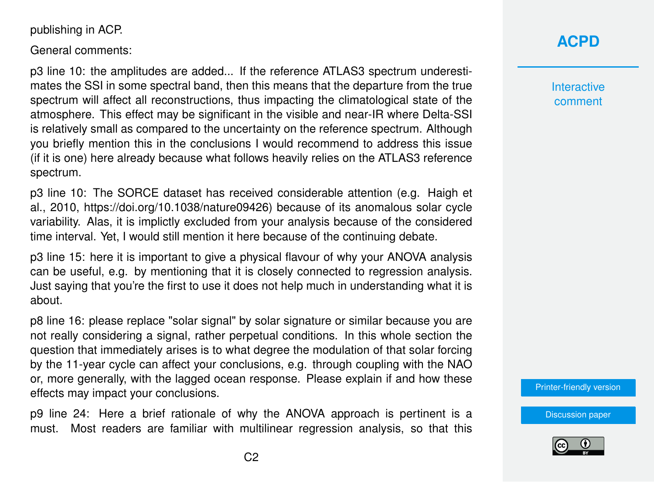publishing in ACP.

General comments:

p3 line 10: the amplitudes are added... If the reference ATLAS3 spectrum underestimates the SSI in some spectral band, then this means that the departure from the true spectrum will affect all reconstructions, thus impacting the climatological state of the atmosphere. This effect may be significant in the visible and near-IR where Delta-SSI is relatively small as compared to the uncertainty on the reference spectrum. Although you briefly mention this in the conclusions I would recommend to address this issue (if it is one) here already because what follows heavily relies on the ATLAS3 reference spectrum.

p3 line 10: The SORCE dataset has received considerable attention (e.g. Haigh et al., 2010, https://doi.org/10.1038/nature09426) because of its anomalous solar cycle variability. Alas, it is implictly excluded from your analysis because of the considered time interval. Yet, I would still mention it here because of the continuing debate.

p3 line 15: here it is important to give a physical flavour of why your ANOVA analysis can be useful, e.g. by mentioning that it is closely connected to regression analysis. Just saying that you're the first to use it does not help much in understanding what it is about.

p8 line 16: please replace "solar signal" by solar signature or similar because you are not really considering a signal, rather perpetual conditions. In this whole section the question that immediately arises is to what degree the modulation of that solar forcing by the 11-year cycle can affect your conclusions, e.g. through coupling with the NAO or, more generally, with the lagged ocean response. Please explain if and how these effects may impact your conclusions.

p9 line 24: Here a brief rationale of why the ANOVA approach is pertinent is a must. Most readers are familiar with multilinear regression analysis, so that this

## **[ACPD](https://www.atmos-chem-phys-discuss.net/)**

**Interactive** comment

[Printer-friendly version](https://www.atmos-chem-phys-discuss.net/acp-2019-1010/acp-2019-1010-RC1-print.pdf)

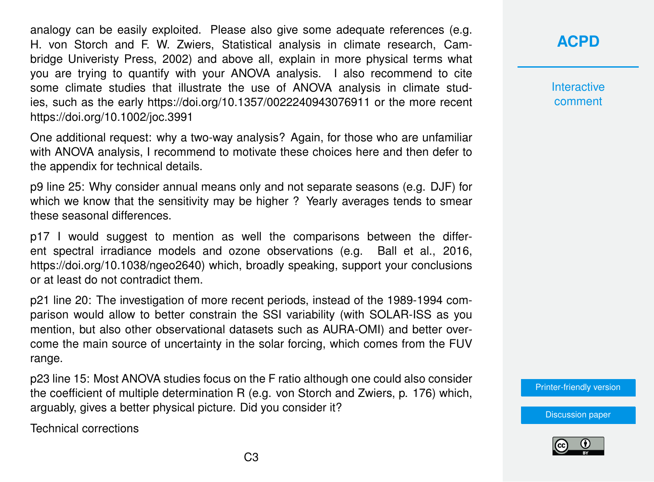analogy can be easily exploited. Please also give some adequate references (e.g. H. von Storch and F. W. Zwiers, Statistical analysis in climate research, Cambridge Univeristy Press, 2002) and above all, explain in more physical terms what you are trying to quantify with your ANOVA analysis. I also recommend to cite some climate studies that illustrate the use of ANOVA analysis in climate studies, such as the early https://doi.org/10.1357/0022240943076911 or the more recent https://doi.org/10.1002/joc.3991

One additional request: why a two-way analysis? Again, for those who are unfamiliar with ANOVA analysis, I recommend to motivate these choices here and then defer to the appendix for technical details.

p9 line 25: Why consider annual means only and not separate seasons (e.g. DJF) for which we know that the sensitivity may be higher ? Yearly averages tends to smear these seasonal differences.

p17 I would suggest to mention as well the comparisons between the different spectral irradiance models and ozone observations (e.g. Ball et al., 2016, https://doi.org/10.1038/ngeo2640) which, broadly speaking, support your conclusions or at least do not contradict them.

p21 line 20: The investigation of more recent periods, instead of the 1989-1994 comparison would allow to better constrain the SSI variability (with SOLAR-ISS as you mention, but also other observational datasets such as AURA-OMI) and better overcome the main source of uncertainty in the solar forcing, which comes from the FUV range.

p23 line 15: Most ANOVA studies focus on the F ratio although one could also consider the coefficient of multiple determination R (e.g. von Storch and Zwiers, p. 176) which, arguably, gives a better physical picture. Did you consider it?

Technical corrections

### **[ACPD](https://www.atmos-chem-phys-discuss.net/)**

**Interactive** comment

[Printer-friendly version](https://www.atmos-chem-phys-discuss.net/acp-2019-1010/acp-2019-1010-RC1-print.pdf)